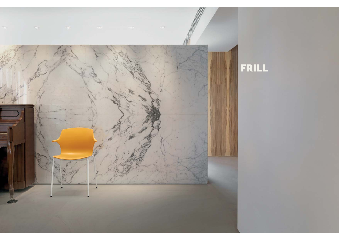

# FRILL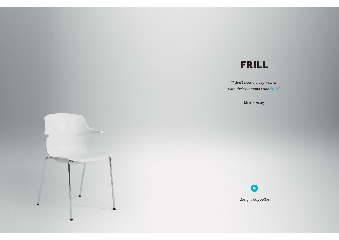## FRILL

"*I don't need no city women with their diamonds and frills"*

Elvis Presley



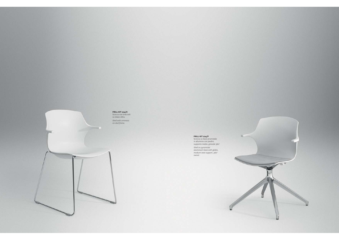### **FRILL KIT 224/C**

Scocca con braccioli su telaio slitta. *Shell with armrests on skid frame.*

Par.

**FRILL KIT 224/F** Scocca su base piramidale in alluminio con piedini, supporto medio, girevole 360°.

*Shell on pyramidal aluminium base with glides, medium seat support, 360° swivel.*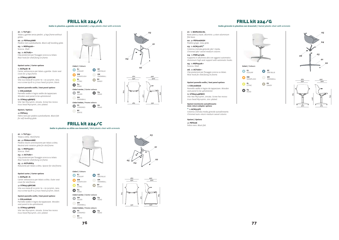### FRILL kit 224/A

*Sedia in plastica 4 gambe con braccioli / 4 legs plastic chair with armrests*

**EJ** ICESURF**EW** SUNSPLASH

*Colori / Colours*

**EL** CITRIC

**E4** ROAD

**GH** SILVER.<br>**EM**<br>SNOWBALL **EZ** GREYBLUE**EM** SNOWBALL

**EV** SANDY

**E4** ROAD

**E4** ROAD

*<sup>01</sup>*. 1x **TLF136••** Telaio 4 gambe senza piedini. *4 legs frame without glides.*

*<sup>02</sup>*. 4x **PDY003ANR** Piedino nero autolivellante. *Black self-levelling glide.*

*03.* 1x **MSP050A••** Scocca. *Shell.*

*04*. 2x **ACY287••** Clip posteriore per fissaggio scocca su telaio.

*Rear hook for shell fixing on frame.*

**Opzioni carter** */ Carter options* 1x **ACP428••B** Carter sottoscocca per telaio 4 gambe. *Outer seat* 

*cover for 4 legs frame.* 4x **VTM0513BPCNR** Vite hilo testa Ø 10.5mm tb + ds 5x13mm, nera. *hilo screw tip Ø 10.5 truss head 5x13mm, black.*

**Opzioni pannello sedile** */ Seat panel options*

1x **COL008A06** Pannello sedile in legno sedile da tappezzare. *Wooden seat panel to be upholstered.*

6x **VTM0514BPBFZ** Vite tbei M5x14mm, zincata. *Screw hex recess truss head M5x14mm, zinc-plated.*

**Opzioni** */ Options* 4x **PDT003**

Feltro nero per piedino autolivellante. *Black felt for self-levelling glide.*

FRILL kit 224/C

*<sup>01</sup>*. 1x **TLF135••** Telaio a slitta. *Skid frame.*

*<sup>02</sup>*. 4x **PDA001ANE** Piedino neutro antirotazione per telaio a slitta. *Neutral anti-rotation glide for skid frame.*

*03.* 1x **MSP050A••** Scocca. *Shell.*

*04*. 2x **ACY287••** Clip posteriore per fissaggio scocca su telaio. *Rear hook for shell fixing on frame.*

*05*. 4x **ACP286E4** Riduzione per telaio a slitta. *Spacer for skid frame.*

**Opzioni carter** */ Carter options*

1x **ACP428••A** Carter sottoscocca per telaio a slitta. *Outer seat cover for skid frame.*

4x **VTM0513BPCNR** Vite hilo testa Ø 10.5mm tb + ds 5x13mm, nera. *hilo screw tip Ø 10.5 truss head 5x13mm, black.*

**Opzioni pannello sedile** */ Seat panel options* 1x **COL008A06** Pannello sedile in legno da tappezzare. *Wooden seat panel to be upholstered.*

6x **VTM0514BPBFZ** Vite tbei M5x14mm, zincata. *Screw hex recess truss head M5x14mm, zinc-plated.*







**FC** CHROMED **BC** WHITE*Colori telaio / Frame colours*





FRILL kit 224/G

*Sedia girevole in plastica con braccioli / Swivel plastic chair with armrests*

*<sup>01</sup>*. 1x **BAM07601AL** Base piana 4 razze, alluminio. *4 stars aluminium* 

*flat base. <sup>02</sup>*. 4x **PDY006AGH**

Piedino grigio. *Grey glide.*

*03.* 1x **ACM312FC\*** Colonna cromata girevole 360° media. *Chromed 360° swivel medium column.*

*04*. 1x **PSM14113AL** Supporto in alluminio alto con agganci automatici. *Aluminium high seat support with automatic hooks.*

*05.* 1x **MSP050A••** Scocca. *Shell.*

*06*. 2x **ACY287••** Clip posteriore per fissaggio scocca su telaio. *Rear hook for shell fixing on frame.*

**Opzioni pannello sedile** */ Seat panel options*

1x **COL008A06** Pannello sedile in legno da tappezzare. *Wooden seat panel to be upholstered.* 6x **VTM0514BPBFZ**

Vite tbei M5x14mm, zincata. *Screw hex recess truss head M5x14mm, zinc-plated.*

**Opzioni movimento autoallineante** *Auto-return adaptor options*

**\*** 1x **ACM313FC** Colonna cromata media girevole autoallineante. *Chromed auto-return medium swivel column.*

**Opzioni** */ Options* 4x **PDT006** Feltro nero. *Black felt.*

**EJ** ICESURF**EZ** GREYBLUE**EW** SUNSPLASH**EM** EM<br>CNOWDALL **EL** CITRIC**EV** SANDY**E4** ROAD*Colori / Colours*







## 530 540

**E4** ROAD



*04 <sup>05</sup> <sup>02</sup>*



*01*

*03*



*Colori telaio / Frame colours*

*Colori carter / Carter colours*

**FC** CHROMED

**BC** WHITE

*Sedia in plastica su slitta con braccioli / Skid plastic chair with armrests*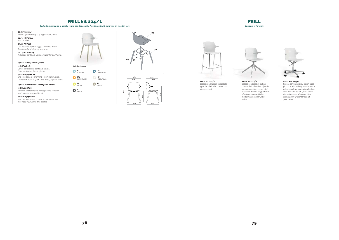#### FRILL kit 224/L

*Sedia in plastica su 4 gambe legno con braccioli / Plastic shell with armrests on wooden legs*

**EJ** ICESURF

*Colori / Colours*

**EL** CITRIC

**E4** ROAD

**EW** SUNSPLASH

**EV** SANDY

*<sup>01</sup>*. 1x **TLL155LN**  Telaio 4 gambe in legno. *4 legget wood frame.* **02. 1x MSPo50A\*\*** 

Scocca. *Shell.* **03.** 2x **ACY287\*\*** 

Clip posteriore per fissaggio scocca su telaio. *Rear hook for shell fixing on frame. 04*. 4x **ACP286E4** 

Riduzione per telaio a slitta. *Spacer for skid frame.*

**Opzioni carter** */ Carter options*

1x **ACP428\*\*A** Carter sottoscocca per telaio a slitta. *Outer seat cover for skid frame.*

4x **VTM0513BPCNR**  Vite Hilo testa Ø 10.5mm  $\tau$ B + DS 5x13mm, nera. *hilo screw tip Ø 10.5mm truss head 5x13mm, black.*

**Opzioni pannello sedile** */ Seat panel options*

1x **COL008A06** Pannello sedile in legno da tappezzare. *Wooden*

*seat panel to be upholstered.*

6x **VTM0514BPBFZ**  Vite tbei M5x14mm, zincata. *Screw hex recess russ head M5x14mm, zinc-plated.*





550 500

*02*

*01*

FRILL*Varianti / Variants*



**FRILL KIT 224/E** Scocca con braccioli su sgabello 4 gambe. *Shell with armrests on 4 legged stool.*



Scocca con braccioli su base piramidale in alluminio c/piedini, supporto medio, girevole 360°. *Shell with armrest on pyramidal aluminium base w/glides, medium seat support, 360° swivel.*



**FRILL KIT 224/H** Scocca con braccioli su base 5 razze piccola in alluminio c/ruote, supporto c/leva per alzata a gas, girevole 360°. *Shell with armrest on 5 stars small aluminium base w/castors, high seat support w/lever for gas lift, 360° swivel.*